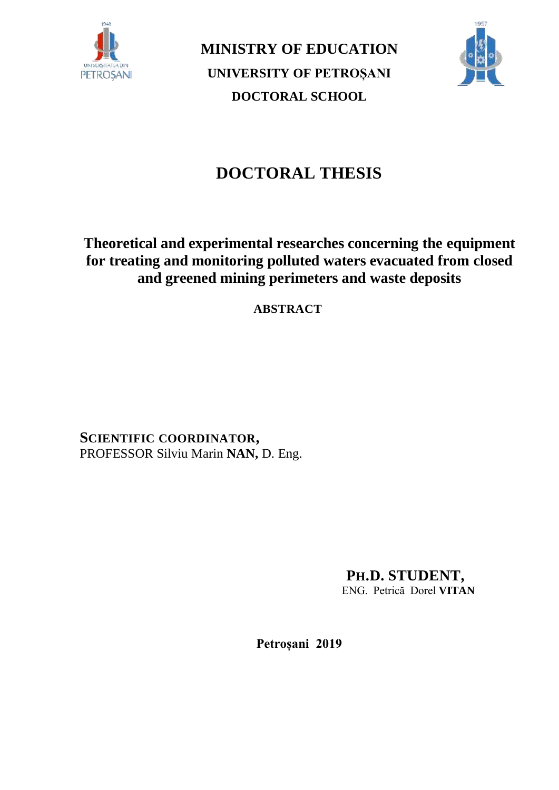

**MINISTRY OF EDUCATION UNIVERSITY OF PETROȘANI DOCTORAL SCHOOL**



# **DOCTORAL THESIS**

## **Theoretical and experimental researches concerning the equipment for treating and monitoring polluted waters evacuated from closed and greened mining perimeters and waste deposits**

**ABSTRACT**

**SCIENTIFIC COORDINATOR,** PROFESSOR Silviu Marin **NAN,** D. Eng.

> **PH.D. STUDENT,** ENG. Petrică Dorel **VITAN**

**Petroșani 2019**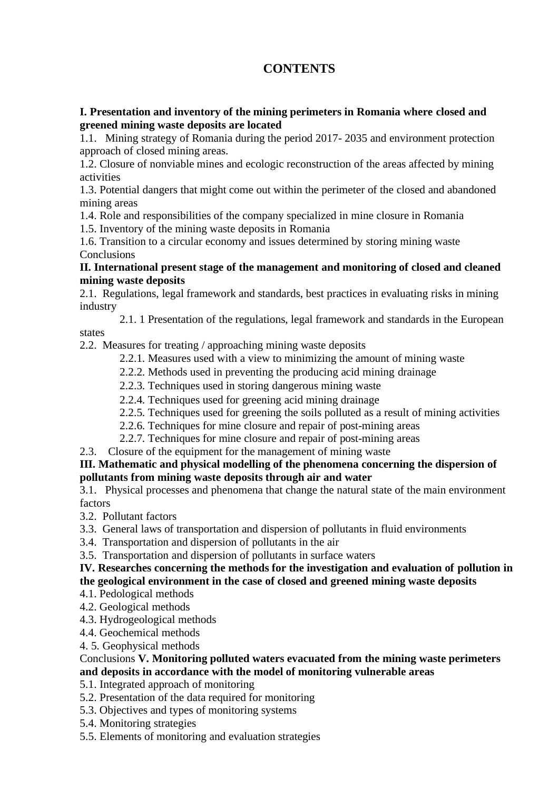## **CONTENTS**

### **I. Presentation and inventory of the mining perimeters in Romania where closed and greened mining waste deposits are located**

1.1. Mining strategy of Romania during the period 2017- 2035 and environment protection approach of closed mining areas.

1.2. Closure of nonviable mines and ecologic reconstruction of the areas affected by mining activities

1.3. Potential dangers that might come out within the perimeter of the closed and abandoned mining areas

1.4. Role and responsibilities of the company specialized in mine closure in Romania

1.5. Inventory of the mining waste deposits in Romania

1.6. Transition to a circular economy and issues determined by storing mining waste **Conclusions** 

## **II. International present stage of the management and monitoring of closed and cleaned mining waste deposits**

2.1. Regulations, legal framework and standards, best practices in evaluating risks in mining industry

2.1. 1 Presentation of the regulations, legal framework and standards in the European states

2.2. Measures for treating / approaching mining waste deposits

- 2.2.1. Measures used with a view to minimizing the amount of mining waste
- 2.2.2. Methods used in preventing the producing acid mining drainage
- 2.2.3. Techniques used in storing dangerous mining waste
- 2.2.4. Techniques used for greening acid mining drainage
- 2.2.5. Techniques used for greening the soils polluted as a result of mining activities
- 2.2.6. Techniques for mine closure and repair of post-mining areas
- 2.2.7. Techniques for mine closure and repair of post-mining areas
- 2.3. Closure of the equipment for the management of mining waste

## **III. Mathematic and physical modelling of the phenomena concerning the dispersion of pollutants from mining waste deposits through air and water**

3.1. Physical processes and phenomena that change the natural state of the main environment factors

- 3.2. Pollutant factors
- 3.3. General laws of transportation and dispersion of pollutants in fluid environments
- 3.4. Transportation and dispersion of pollutants in the air

3.5. Transportation and dispersion of pollutants in surface waters

## **IV. Researches concerning the methods for the investigation and evaluation of pollution in the geological environment in the case of closed and greened mining waste deposits**

- 4.1. Pedological methods
- 4.2. Geological methods
- 4.3. Hydrogeological methods
- 4.4. Geochemical methods
- 4. 5. Geophysical methods

## Conclusions **V. Monitoring polluted waters evacuated from the mining waste perimeters and deposits in accordance with the model of monitoring vulnerable areas**

## 5.1. Integrated approach of monitoring

- 5.2. Presentation of the data required for monitoring
- 5.3. Objectives and types of monitoring systems
- 5.4. Monitoring strategies
- 5.5. Elements of monitoring and evaluation strategies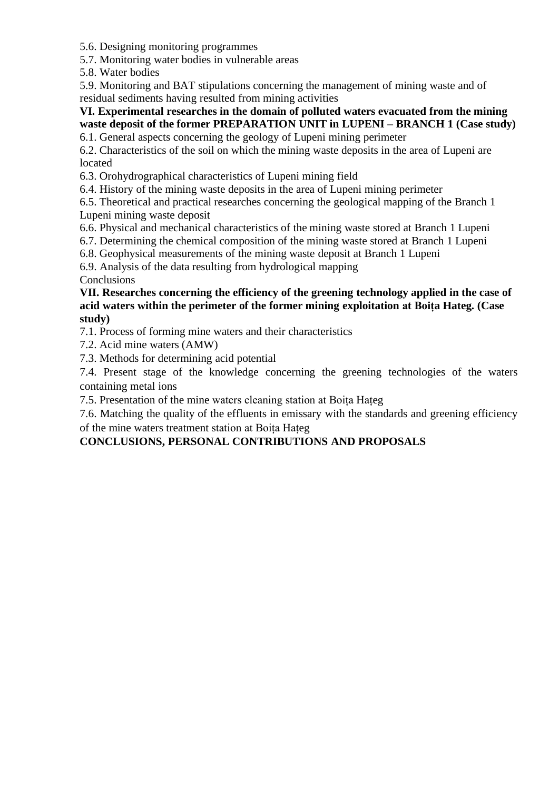5.6. Designing monitoring programmes

5.7. Monitoring water bodies in vulnerable areas

5.8. Water bodies

5.9. Monitoring and BAT stipulations concerning the management of mining waste and of residual sediments having resulted from mining activities

## **VI. Experimental researches in the domain of polluted waters evacuated from the mining waste deposit of the former PREPARATION UNIT in LUPENI – BRANCH 1 (Case study)**

6.1. General aspects concerning the geology of Lupeni mining perimeter

6.2. Characteristics of the soil on which the mining waste deposits in the area of Lupeni are located

6.3. Orohydrographical characteristics of Lupeni mining field

6.4. History of the mining waste deposits in the area of Lupeni mining perimeter

6.5. Theoretical and practical researches concerning the geological mapping of the Branch 1 Lupeni mining waste deposit

6.6. Physical and mechanical characteristics of the mining waste stored at Branch 1 Lupeni

6.7. Determining the chemical composition of the mining waste stored at Branch 1 Lupeni

6.8. Geophysical measurements of the mining waste deposit at Branch 1 Lupeni

6.9. Analysis of the data resulting from hydrological mapping

**Conclusions** 

## **VII. Researches concerning the efficiency of the greening technology applied in the case of acid waters within the perimeter of the former mining exploitation at Boița Hateg. (Case study)**

7.1. Process of forming mine waters and their characteristics

7.2. Acid mine waters (AMW)

7.3. Methods for determining acid potential

7.4. Present stage of the knowledge concerning the greening technologies of the waters containing metal ions

7.5. Presentation of the mine waters cleaning station at Boița Hațeg

7.6. Matching the quality of the effluents in emissary with the standards and greening efficiency of the mine waters treatment station at Boița Hațeg

## **CONCLUSIONS, PERSONAL CONTRIBUTIONS AND PROPOSALS**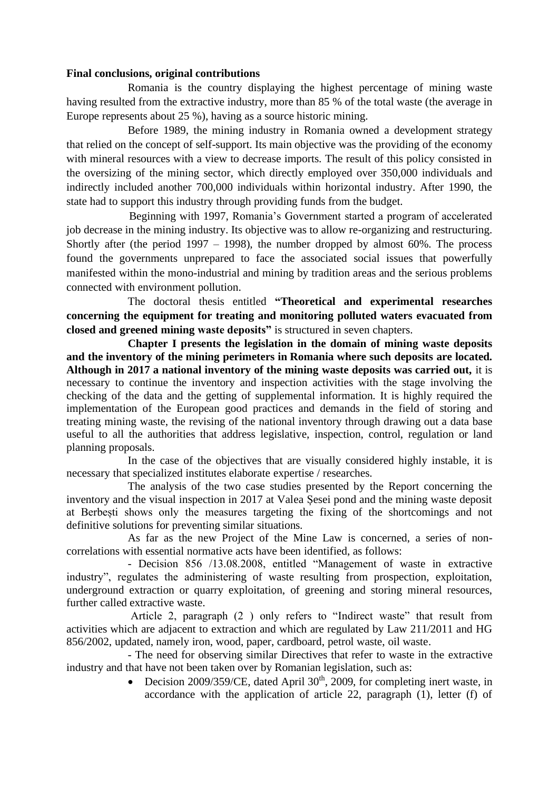#### **Final conclusions, original contributions**

Romania is the country displaying the highest percentage of mining waste having resulted from the extractive industry, more than 85 % of the total waste (the average in Europe represents about 25 %), having as a source historic mining.

Before 1989, the mining industry in Romania owned a development strategy that relied on the concept of self-support. Its main objective was the providing of the economy with mineral resources with a view to decrease imports. The result of this policy consisted in the oversizing of the mining sector, which directly employed over 350,000 individuals and indirectly included another 700,000 individuals within horizontal industry. After 1990, the state had to support this industry through providing funds from the budget.

 Beginning with 1997, Romania's Government started a program of accelerated job decrease in the mining industry. Its objective was to allow re-organizing and restructuring. Shortly after (the period  $1997 - 1998$ ), the number dropped by almost 60%. The process found the governments unprepared to face the associated social issues that powerfully manifested within the mono-industrial and mining by tradition areas and the serious problems connected with environment pollution.

The doctoral thesis entitled **"Theoretical and experimental researches concerning the equipment for treating and monitoring polluted waters evacuated from closed and greened mining waste deposits"** is structured in seven chapters.

**Chapter I presents the legislation in the domain of mining waste deposits and the inventory of the mining perimeters in Romania where such deposits are located. Although in 2017 a national inventory of the mining waste deposits was carried out,** it is necessary to continue the inventory and inspection activities with the stage involving the checking of the data and the getting of supplemental information. It is highly required the implementation of the European good practices and demands in the field of storing and treating mining waste, the revising of the national inventory through drawing out a data base useful to all the authorities that address legislative, inspection, control, regulation or land planning proposals.

In the case of the objectives that are visually considered highly instable, it is necessary that specialized institutes elaborate expertise / researches.

The analysis of the two case studies presented by the Report concerning the inventory and the visual inspection in 2017 at Valea Șesei pond and the mining waste deposit at Berbești shows only the measures targeting the fixing of the shortcomings and not definitive solutions for preventing similar situations.

As far as the new Project of the Mine Law is concerned, a series of noncorrelations with essential normative acts have been identified, as follows:

- Decision 856 /13.08.2008, entitled "Management of waste in extractive industry", regulates the administering of waste resulting from prospection, exploitation, underground extraction or quarry exploitation, of greening and storing mineral resources, further called extractive waste.

Article 2, paragraph (2 ) only refers to "Indirect waste" that result from activities which are adjacent to extraction and which are regulated by Law 211/2011 and HG 856/2002, updated, namely iron, wood, paper, cardboard, petrol waste, oil waste.

- The need for observing similar Directives that refer to waste in the extractive industry and that have not been taken over by Romanian legislation, such as:

> • Decision 2009/359/CE, dated April  $30<sup>th</sup>$ , 2009, for completing inert waste, in accordance with the application of article 22, paragraph (1), letter (f) of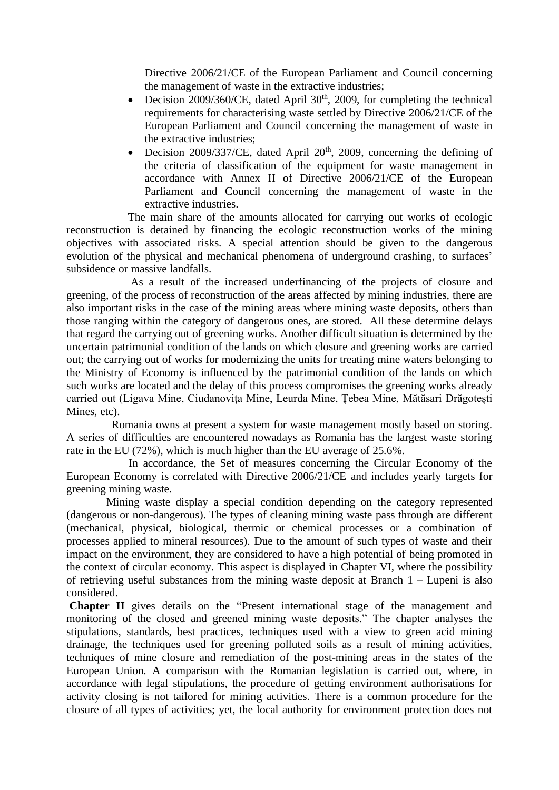Directive 2006/21/CE of the European Parliament and Council concerning the management of waste in the extractive industries;

- Decision 2009/360/CE, dated April  $30<sup>th</sup>$ , 2009, for completing the technical requirements for characterising waste settled by Directive 2006/21/CE of the European Parliament and Council concerning the management of waste in the extractive industries;
- Decision 2009/337/CE, dated April  $20<sup>th</sup>$ , 2009, concerning the defining of the criteria of classification of the equipment for waste management in accordance with Annex II of Directive 2006/21/CE of the European Parliament and Council concerning the management of waste in the extractive industries.

The main share of the amounts allocated for carrying out works of ecologic reconstruction is detained by financing the ecologic reconstruction works of the mining objectives with associated risks. A special attention should be given to the dangerous evolution of the physical and mechanical phenomena of underground crashing, to surfaces' subsidence or massive landfalls.

As a result of the increased underfinancing of the projects of closure and greening, of the process of reconstruction of the areas affected by mining industries, there are also important risks in the case of the mining areas where mining waste deposits, others than those ranging within the category of dangerous ones, are stored. All these determine delays that regard the carrying out of greening works. Another difficult situation is determined by the uncertain patrimonial condition of the lands on which closure and greening works are carried out; the carrying out of works for modernizing the units for treating mine waters belonging to the Ministry of Economy is influenced by the patrimonial condition of the lands on which such works are located and the delay of this process compromises the greening works already carried out (Ligava Mine, Ciudanovița Mine, Leurda Mine, Țebea Mine, Mătăsari Drăgotești Mines, etc).

 Romania owns at present a system for waste management mostly based on storing. A series of difficulties are encountered nowadays as Romania has the largest waste storing rate in the EU (72%), which is much higher than the EU average of 25.6%.

 In accordance, the Set of measures concerning the Circular Economy of the European Economy is correlated with Directive 2006/21/CE and includes yearly targets for greening mining waste.

Mining waste display a special condition depending on the category represented (dangerous or non-dangerous). The types of cleaning mining waste pass through are different (mechanical, physical, biological, thermic or chemical processes or a combination of processes applied to mineral resources). Due to the amount of such types of waste and their impact on the environment, they are considered to have a high potential of being promoted in the context of circular economy. This aspect is displayed in Chapter VI, where the possibility of retrieving useful substances from the mining waste deposit at Branch 1 – Lupeni is also considered.

**Chapter II** gives details on the "Present international stage of the management and monitoring of the closed and greened mining waste deposits." The chapter analyses the stipulations, standards, best practices, techniques used with a view to green acid mining drainage, the techniques used for greening polluted soils as a result of mining activities, techniques of mine closure and remediation of the post-mining areas in the states of the European Union. A comparison with the Romanian legislation is carried out, where, in accordance with legal stipulations, the procedure of getting environment authorisations for activity closing is not tailored for mining activities. There is a common procedure for the closure of all types of activities; yet, the local authority for environment protection does not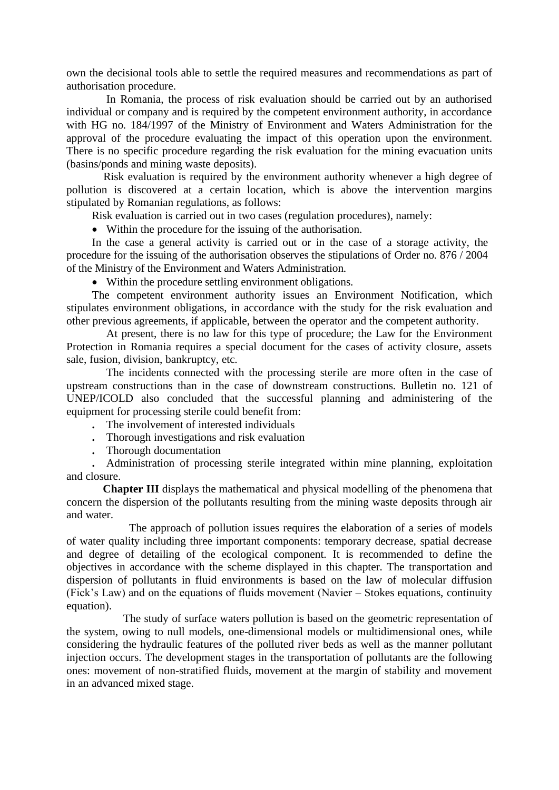own the decisional tools able to settle the required measures and recommendations as part of authorisation procedure.

In Romania, the process of risk evaluation should be carried out by an authorised individual or company and is required by the competent environment authority, in accordance with HG no. 184/1997 of the Ministry of Environment and Waters Administration for the approval of the procedure evaluating the impact of this operation upon the environment. There is no specific procedure regarding the risk evaluation for the mining evacuation units (basins/ponds and mining waste deposits).

 Risk evaluation is required by the environment authority whenever a high degree of pollution is discovered at a certain location, which is above the intervention margins stipulated by Romanian regulations, as follows:

Risk evaluation is carried out in two cases (regulation procedures), namely:

• Within the procedure for the issuing of the authorisation.

In the case a general activity is carried out or in the case of a storage activity, the procedure for the issuing of the authorisation observes the stipulations of Order no. 876 / 2004 of the Ministry of the Environment and Waters Administration.

• Within the procedure settling environment obligations.

The competent environment authority issues an Environment Notification, which stipulates environment obligations, in accordance with the study for the risk evaluation and other previous agreements, if applicable, between the operator and the competent authority.

At present, there is no law for this type of procedure; the Law for the Environment Protection in Romania requires a special document for the cases of activity closure, assets sale, fusion, division, bankruptcy, etc.

The incidents connected with the processing sterile are more often in the case of upstream constructions than in the case of downstream constructions. Bulletin no. 121 of UNEP/ICOLD also concluded that the successful planning and administering of the equipment for processing sterile could benefit from:

**.** The involvement of interested individuals

**.** Thorough investigations and risk evaluation

**.** Thorough documentation

**.** Administration of processing sterile integrated within mine planning, exploitation and closure.

**Chapter III** displays the mathematical and physical modelling of the phenomena that concern the dispersion of the pollutants resulting from the mining waste deposits through air and water.

 The approach of pollution issues requires the elaboration of a series of models of water quality including three important components: temporary decrease, spatial decrease and degree of detailing of the ecological component. It is recommended to define the objectives in accordance with the scheme displayed in this chapter. The transportation and dispersion of pollutants in fluid environments is based on the law of molecular diffusion (Fick's Law) and on the equations of fluids movement (Navier – Stokes equations, continuity equation).

The study of surface waters pollution is based on the geometric representation of the system, owing to null models, one-dimensional models or multidimensional ones, while considering the hydraulic features of the polluted river beds as well as the manner pollutant injection occurs. The development stages in the transportation of pollutants are the following ones: movement of non-stratified fluids, movement at the margin of stability and movement in an advanced mixed stage.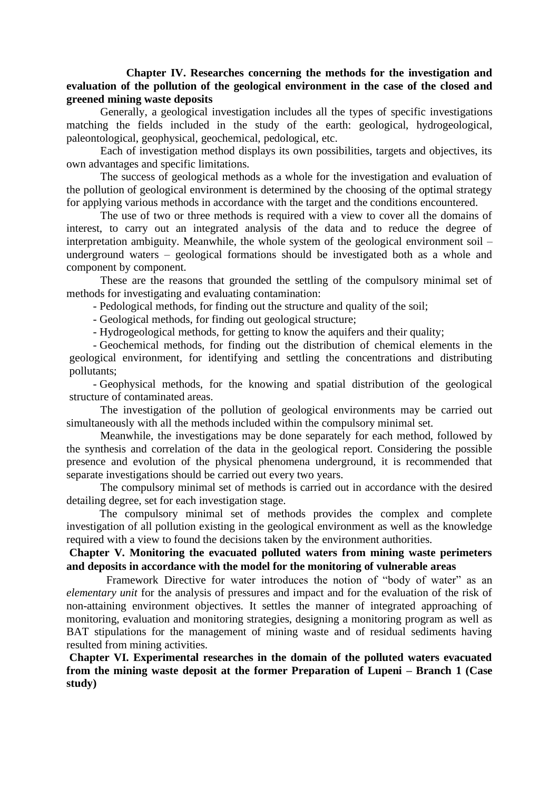#### **Chapter IV. Researches concerning the methods for the investigation and evaluation of the pollution of the geological environment in the case of the closed and greened mining waste deposits**

Generally, a geological investigation includes all the types of specific investigations matching the fields included in the study of the earth: geological, hydrogeological, paleontological, geophysical, geochemical, pedological, etc.

Each of investigation method displays its own possibilities, targets and objectives, its own advantages and specific limitations.

The success of geological methods as a whole for the investigation and evaluation of the pollution of geological environment is determined by the choosing of the optimal strategy for applying various methods in accordance with the target and the conditions encountered.

The use of two or three methods is required with a view to cover all the domains of interest, to carry out an integrated analysis of the data and to reduce the degree of interpretation ambiguity. Meanwhile, the whole system of the geological environment soil – underground waters – geological formations should be investigated both as a whole and component by component.

These are the reasons that grounded the settling of the compulsory minimal set of methods for investigating and evaluating contamination:

- Pedological methods, for finding out the structure and quality of the soil;

- Geological methods, for finding out geological structure;

- Hydrogeological methods, for getting to know the aquifers and their quality;

- Geochemical methods, for finding out the distribution of chemical elements in the geological environment, for identifying and settling the concentrations and distributing pollutants;

- Geophysical methods, for the knowing and spatial distribution of the geological structure of contaminated areas.

The investigation of the pollution of geological environments may be carried out simultaneously with all the methods included within the compulsory minimal set.

Meanwhile, the investigations may be done separately for each method, followed by the synthesis and correlation of the data in the geological report. Considering the possible presence and evolution of the physical phenomena underground, it is recommended that separate investigations should be carried out every two years.

The compulsory minimal set of methods is carried out in accordance with the desired detailing degree, set for each investigation stage.

The compulsory minimal set of methods provides the complex and complete investigation of all pollution existing in the geological environment as well as the knowledge required with a view to found the decisions taken by the environment authorities.

## **Chapter V. Monitoring the evacuated polluted waters from mining waste perimeters and deposits in accordance with the model for the monitoring of vulnerable areas**

Framework Directive for water introduces the notion of "body of water" as an *elementary unit* for the analysis of pressures and impact and for the evaluation of the risk of non-attaining environment objectives. It settles the manner of integrated approaching of monitoring, evaluation and monitoring strategies, designing a monitoring program as well as BAT stipulations for the management of mining waste and of residual sediments having resulted from mining activities.

**Chapter VI. Experimental researches in the domain of the polluted waters evacuated from the mining waste deposit at the former Preparation of Lupeni – Branch 1 (Case study)**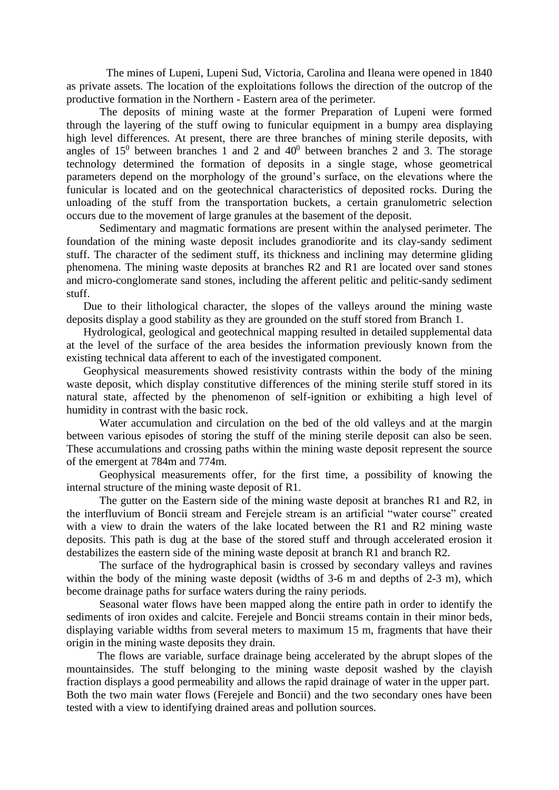The mines of Lupeni, Lupeni Sud, Victoria, Carolina and Ileana were opened in 1840 as private assets. The location of the exploitations follows the direction of the outcrop of the productive formation in the Northern - Eastern area of the perimeter.

The deposits of mining waste at the former Preparation of Lupeni were formed through the layering of the stuff owing to funicular equipment in a bumpy area displaying high level differences. At present, there are three branches of mining sterile deposits, with angles of  $15^0$  between branches 1 and 2 and  $40^0$  between branches 2 and 3. The storage technology determined the formation of deposits in a single stage, whose geometrical parameters depend on the morphology of the ground's surface, on the elevations where the funicular is located and on the geotechnical characteristics of deposited rocks. During the unloading of the stuff from the transportation buckets, a certain granulometric selection occurs due to the movement of large granules at the basement of the deposit.

Sedimentary and magmatic formations are present within the analysed perimeter. The foundation of the mining waste deposit includes granodiorite and its clay-sandy sediment stuff. The character of the sediment stuff, its thickness and inclining may determine gliding phenomena. The mining waste deposits at branches R2 and R1 are located over sand stones and micro-conglomerate sand stones, including the afferent pelitic and pelitic-sandy sediment stuff.

Due to their lithological character, the slopes of the valleys around the mining waste deposits display a good stability as they are grounded on the stuff stored from Branch 1.

Hydrological, geological and geotechnical mapping resulted in detailed supplemental data at the level of the surface of the area besides the information previously known from the existing technical data afferent to each of the investigated component.

Geophysical measurements showed resistivity contrasts within the body of the mining waste deposit, which display constitutive differences of the mining sterile stuff stored in its natural state, affected by the phenomenon of self-ignition or exhibiting a high level of humidity in contrast with the basic rock.

Water accumulation and circulation on the bed of the old valleys and at the margin between various episodes of storing the stuff of the mining sterile deposit can also be seen. These accumulations and crossing paths within the mining waste deposit represent the source of the emergent at 784m and 774m.

Geophysical measurements offer, for the first time, a possibility of knowing the internal structure of the mining waste deposit of R1.

The gutter on the Eastern side of the mining waste deposit at branches R1 and R2, in the interfluvium of Boncii stream and Ferejele stream is an artificial "water course" created with a view to drain the waters of the lake located between the R1 and R2 mining waste deposits. This path is dug at the base of the stored stuff and through accelerated erosion it destabilizes the eastern side of the mining waste deposit at branch R1 and branch R2.

The surface of the hydrographical basin is crossed by secondary valleys and ravines within the body of the mining waste deposit (widths of 3-6 m and depths of 2-3 m), which become drainage paths for surface waters during the rainy periods.

Seasonal water flows have been mapped along the entire path in order to identify the sediments of iron oxides and calcite. Ferejele and Boncii streams contain in their minor beds, displaying variable widths from several meters to maximum 15 m, fragments that have their origin in the mining waste deposits they drain.

 The flows are variable, surface drainage being accelerated by the abrupt slopes of the mountainsides. The stuff belonging to the mining waste deposit washed by the clayish fraction displays a good permeability and allows the rapid drainage of water in the upper part. Both the two main water flows (Ferejele and Boncii) and the two secondary ones have been tested with a view to identifying drained areas and pollution sources.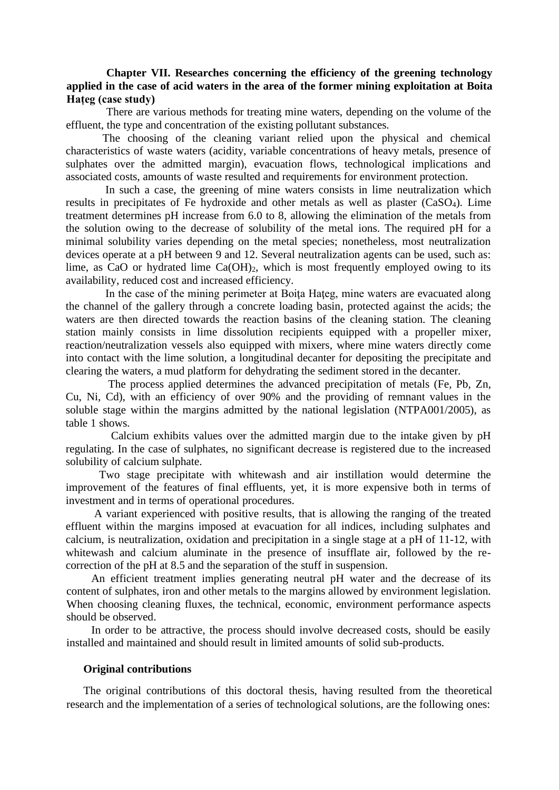#### **Chapter VII. Researches concerning the efficiency of the greening technology applied in the case of acid waters in the area of the former mining exploitation at Boita Hațeg (case study)**

There are various methods for treating mine waters, depending on the volume of the effluent, the type and concentration of the existing pollutant substances.

 The choosing of the cleaning variant relied upon the physical and chemical characteristics of waste waters (acidity, variable concentrations of heavy metals, presence of sulphates over the admitted margin), evacuation flows, technological implications and associated costs, amounts of waste resulted and requirements for environment protection.

 In such a case, the greening of mine waters consists in lime neutralization which results in precipitates of Fe hydroxide and other metals as well as plaster (CaSO4). Lime treatment determines pH increase from 6.0 to 8, allowing the elimination of the metals from the solution owing to the decrease of solubility of the metal ions. The required pH for a minimal solubility varies depending on the metal species; nonetheless, most neutralization devices operate at a pH between 9 and 12. Several neutralization agents can be used, such as: lime, as CaO or hydrated lime  $Ca(OH)_2$ , which is most frequently employed owing to its availability, reduced cost and increased efficiency.

In the case of the mining perimeter at Boita Hateg, mine waters are evacuated along the channel of the gallery through a concrete loading basin, protected against the acids; the waters are then directed towards the reaction basins of the cleaning station. The cleaning station mainly consists in lime dissolution recipients equipped with a propeller mixer, reaction/neutralization vessels also equipped with mixers, where mine waters directly come into contact with the lime solution, a longitudinal decanter for depositing the precipitate and clearing the waters, a mud platform for dehydrating the sediment stored in the decanter.

 The process applied determines the advanced precipitation of metals (Fe, Pb, Zn, Cu, Ni, Cd), with an efficiency of over 90% and the providing of remnant values in the soluble stage within the margins admitted by the national legislation (NTPA001/2005), as table 1 shows.

 Calcium exhibits values over the admitted margin due to the intake given by pH regulating. In the case of sulphates, no significant decrease is registered due to the increased solubility of calcium sulphate.

Two stage precipitate with whitewash and air instillation would determine the improvement of the features of final effluents, yet, it is more expensive both in terms of investment and in terms of operational procedures.

A variant experienced with positive results, that is allowing the ranging of the treated effluent within the margins imposed at evacuation for all indices, including sulphates and calcium, is neutralization, oxidation and precipitation in a single stage at a pH of 11-12, with whitewash and calcium aluminate in the presence of insufflate air, followed by the recorrection of the pH at 8.5 and the separation of the stuff in suspension.

An efficient treatment implies generating neutral pH water and the decrease of its content of sulphates, iron and other metals to the margins allowed by environment legislation. When choosing cleaning fluxes, the technical, economic, environment performance aspects should be observed.

In order to be attractive, the process should involve decreased costs, should be easily installed and maintained and should result in limited amounts of solid sub-products.

#### **Original contributions**

The original contributions of this doctoral thesis, having resulted from the theoretical research and the implementation of a series of technological solutions, are the following ones: